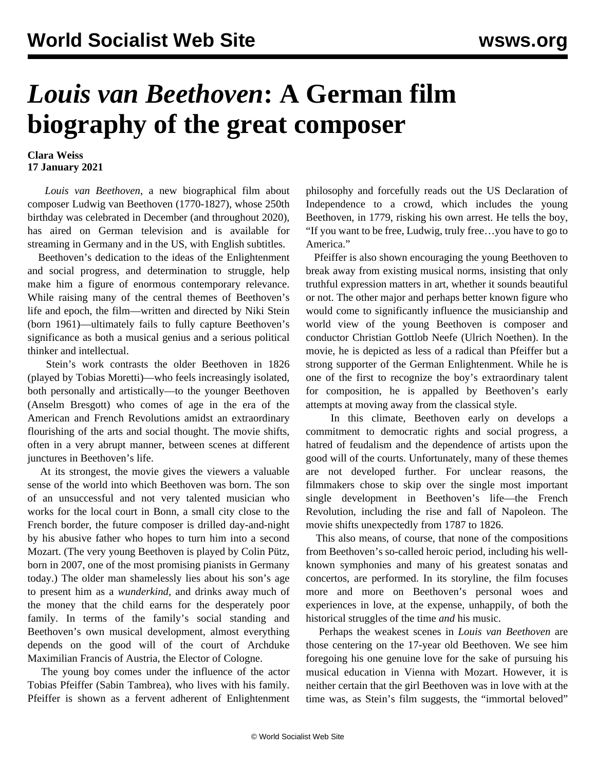## *Louis van Beethoven***: A German film biography of the great composer**

## **Clara Weiss 17 January 2021**

 *Louis van Beethoven*, a new biographical film about composer Ludwig van Beethoven (1770-1827), whose 250th birthday was celebrated in December (and throughout 2020), has aired on German television and is available for streaming in Germany and in the US, with English subtitles.

 Beethoven's dedication to the ideas of the Enlightenment and social progress, and determination to struggle, help make him a figure of enormous [contemporary relevance.](/en/articles/2020/12/17/beet-d17.html) While raising many of the central themes of Beethoven's life and epoch, the film—written and directed by Niki Stein (born 1961)—ultimately fails to fully capture Beethoven's significance as both a musical genius and a serious political thinker and intellectual.

 Stein's work contrasts the older Beethoven in 1826 (played by Tobias Moretti)—who feels increasingly isolated, both personally and artistically—to the younger Beethoven (Anselm Bresgott) who comes of age in the era of the American and French Revolutions amidst an extraordinary flourishing of the arts and social thought. The movie shifts, often in a very abrupt manner, between scenes at different junctures in Beethoven's life.

 At its strongest, the movie gives the viewers a valuable sense of the world into which Beethoven was born. The son of an unsuccessful and not very talented musician who works for the local court in Bonn, a small city close to the French border, the future composer is drilled day-and-night by his abusive father who hopes to turn him into a second Mozart. (The very young Beethoven is played by Colin Pütz, born in 2007, one of the most promising pianists in Germany today.) The older man shamelessly lies about his son's age to present him as a *wunderkind,* and drinks away much of the money that the child earns for the desperately poor family. In terms of the family's social standing and Beethoven's own musical development, almost everything depends on the good will of the court of Archduke Maximilian Francis of Austria, the Elector of Cologne.

 The young boy comes under the influence of the actor Tobias Pfeiffer (Sabin Tambrea), who lives with his family. Pfeiffer is shown as a fervent adherent of Enlightenment philosophy and forcefully reads out the US Declaration of Independence to a crowd, which includes the young Beethoven, in 1779, risking his own arrest. He tells the boy, "If you want to be free, Ludwig, truly free…you have to go to America."

 Pfeiffer is also shown encouraging the young Beethoven to break away from existing musical norms, insisting that only truthful expression matters in art, whether it sounds beautiful or not. The other major and perhaps better known figure who would come to significantly influence the musicianship and world view of the young Beethoven is composer and conductor Christian Gottlob Neefe (Ulrich Noethen). In the movie, he is depicted as less of a radical than Pfeiffer but a strong supporter of the German Enlightenment. While he is one of the first to recognize the boy's extraordinary talent for composition, he is appalled by Beethoven's early attempts at moving away from the classical style.

 In this climate, Beethoven early on develops a commitment to democratic rights and social progress, a hatred of feudalism and the dependence of artists upon the good will of the courts. Unfortunately, many of these themes are not developed further. For unclear reasons, the filmmakers chose to skip over the single most important single development in Beethoven's life—the French Revolution, including the rise and fall of Napoleon. The movie shifts unexpectedly from 1787 to 1826.

 This also means, of course, that none of the compositions from Beethoven's so-called heroic period, including his wellknown symphonies and many of his greatest sonatas and concertos, are performed. In its storyline, the film focuses more and more on Beethoven's personal woes and experiences in love, at the expense, unhappily, of both the historical struggles of the time *and* his music.

 Perhaps the weakest scenes in *Louis van Beethoven* are those centering on the 17-year old Beethoven. We see him foregoing his one genuine love for the sake of pursuing his musical education in Vienna with Mozart. However, it is neither certain that the girl Beethoven was in love with at the time was, as Stein's film suggests, the "immortal beloved"